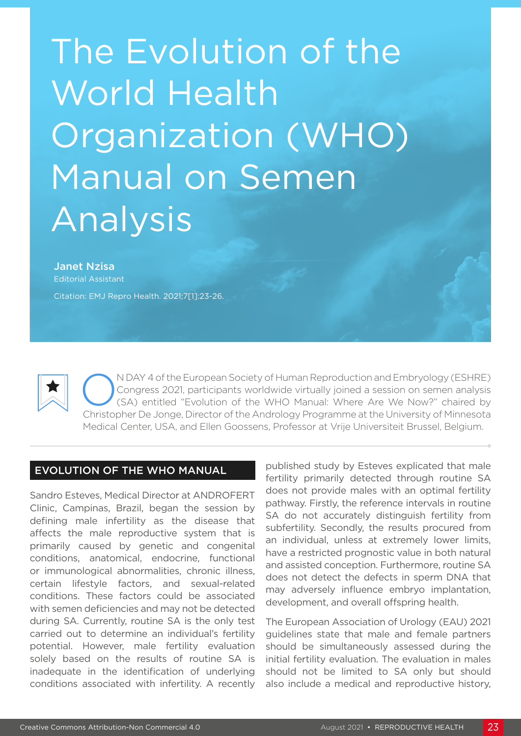# The Evolution of the World Health Organization (WHO) Manual on Semen Analysis

#### Janet Nzisa Editorial Assistant

Citation: EMJ Repro Health. 2021;7[1]:23-26.

ON DAY 4 of the European Society of Human Reproduction and Embryology (ESHRE)<br>Congress 2021, participants worldwide virtually joined a session on semen analysis<br>(SA) entitled "Evolution of the WHO Manual: Where Are We Now? Congress 2021, participants worldwide virtually joined a session on semen analysis (SA) entitled "Evolution of the WHO Manual: Where Are We Now?" chaired by Christopher De Jonge, Director of the Andrology Programme at the University of Minnesota Medical Center, USA, and Ellen Goossens, Professor at Vrije Universiteit Brussel, Belgium.

## EVOLUTION OF THE WHO MANUAL

Sandro Esteves, Medical Director at ANDROFERT Clinic, Campinas, Brazil, began the session by defining male infertility as the disease that affects the male reproductive system that is primarily caused by genetic and congenital conditions, anatomical, endocrine, functional or immunological abnormalities, chronic illness, certain lifestyle factors, and sexual-related conditions. These factors could be associated with semen deficiencies and may not be detected during SA. Currently, routine SA is the only test carried out to determine an individual's fertility potential. However, male fertility evaluation solely based on the results of routine SA is inadequate in the identification of underlying conditions associated with infertility. A recently

published study by Esteves explicated that male fertility primarily detected through routine SA does not provide males with an optimal fertility pathway. Firstly, the reference intervals in routine SA do not accurately distinguish fertility from subfertility. Secondly, the results procured from an individual, unless at extremely lower limits, have a restricted prognostic value in both natural and assisted conception. Furthermore, routine SA does not detect the defects in sperm DNA that may adversely influence embryo implantation, development, and overall offspring health.

The European Association of Urology (EAU) 2021 guidelines state that male and female partners should be simultaneously assessed during the initial fertility evaluation. The evaluation in males should not be limited to SA only but should also include a medical and reproductive history,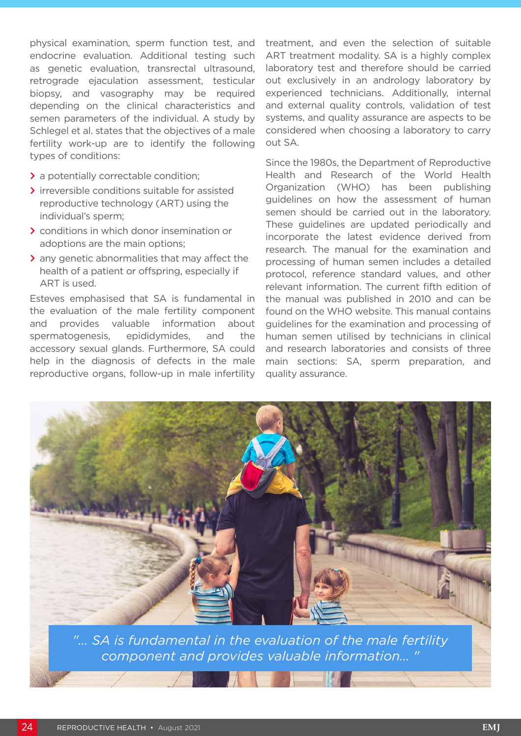physical examination, sperm function test, and endocrine evaluation. Additional testing such as genetic evaluation, transrectal ultrasound, retrograde ejaculation assessment, testicular biopsy, and vasography may be required depending on the clinical characteristics and semen parameters of the individual. A study by Schlegel et al. states that the objectives of a male fertility work-up are to identify the following types of conditions:

- **>** a potentially correctable condition;
- **>** irreversible conditions suitable for assisted reproductive technology (ART) using the individual's sperm;
- **>** conditions in which donor insemination or adoptions are the main options;
- **>** any genetic abnormalities that may affect the health of a patient or offspring, especially if ART is used.

Esteves emphasised that SA is fundamental in the evaluation of the male fertility component and provides valuable information about spermatogenesis, epididymides, and the accessory sexual glands. Furthermore, SA could help in the diagnosis of defects in the male reproductive organs, follow-up in male infertility

treatment, and even the selection of suitable ART treatment modality. SA is a highly complex laboratory test and therefore should be carried out exclusively in an andrology laboratory by experienced technicians. Additionally, internal and external quality controls, validation of test systems, and quality assurance are aspects to be considered when choosing a laboratory to carry out SA.

Since the 1980s, the Department of Reproductive Health and Research of the World Health Organization (WHO) has been publishing guidelines on how the assessment of human semen should be carried out in the laboratory. These guidelines are updated periodically and incorporate the latest evidence derived from research. The manual for the examination and processing of human semen includes a detailed protocol, reference standard values, and other relevant information. The current fifth edition of the manual was published in 2010 and can be found on the WHO website. This manual contains guidelines for the examination and processing of human semen utilised by technicians in clinical and research laboratories and consists of three main sections: SA, sperm preparation, and quality assurance.



*"... SA is fundamental in the evaluation of the male fertility component and provides valuable information... "*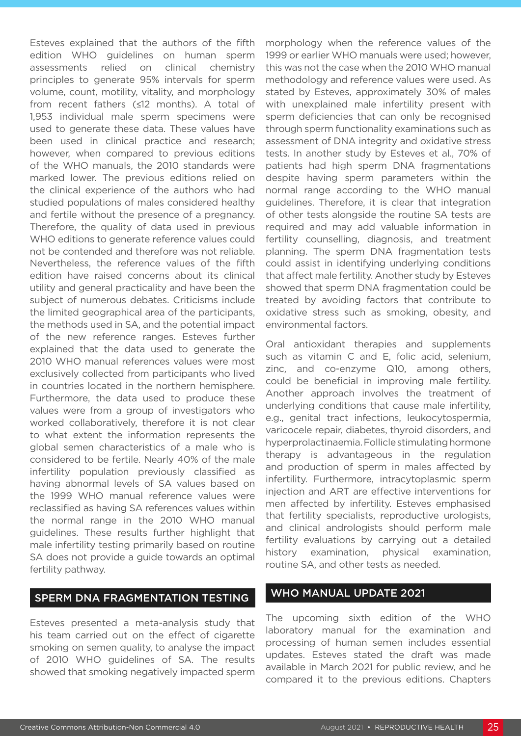Esteves explained that the authors of the fifth edition WHO guidelines on human sperm assessments relied on clinical chemistry principles to generate 95% intervals for sperm volume, count, motility, vitality, and morphology from recent fathers (≤12 months). A total of 1,953 individual male sperm specimens were used to generate these data. These values have been used in clinical practice and research; however, when compared to previous editions of the WHO manuals, the 2010 standards were marked lower. The previous editions relied on the clinical experience of the authors who had studied populations of males considered healthy and fertile without the presence of a pregnancy. Therefore, the quality of data used in previous WHO editions to generate reference values could not be contended and therefore was not reliable. Nevertheless, the reference values of the fifth edition have raised concerns about its clinical utility and general practicality and have been the subject of numerous debates. Criticisms include the limited geographical area of the participants, the methods used in SA, and the potential impact of the new reference ranges. Esteves further explained that the data used to generate the 2010 WHO manual references values were most exclusively collected from participants who lived in countries located in the northern hemisphere. Furthermore, the data used to produce these values were from a group of investigators who worked collaboratively, therefore it is not clear to what extent the information represents the global semen characteristics of a male who is considered to be fertile. Nearly 40% of the male infertility population previously classified as having abnormal levels of SA values based on the 1999 WHO manual reference values were reclassified as having SA references values within the normal range in the 2010 WHO manual guidelines. These results further highlight that male infertility testing primarily based on routine SA does not provide a guide towards an optimal fertility pathway.

## SPERM DNA FRAGMENTATION TESTING

Esteves presented a meta-analysis study that his team carried out on the effect of cigarette smoking on semen quality, to analyse the impact of 2010 WHO guidelines of SA. The results showed that smoking negatively impacted sperm morphology when the reference values of the 1999 or earlier WHO manuals were used; however, this was not the case when the 2010 WHO manual methodology and reference values were used. As stated by Esteves, approximately 30% of males with unexplained male infertility present with sperm deficiencies that can only be recognised through sperm functionality examinations such as assessment of DNA integrity and oxidative stress tests. In another study by Esteves et al., 70% of patients had high sperm DNA fragmentations despite having sperm parameters within the normal range according to the WHO manual guidelines. Therefore, it is clear that integration of other tests alongside the routine SA tests are required and may add valuable information in fertility counselling, diagnosis, and treatment planning. The sperm DNA fragmentation tests could assist in identifying underlying conditions that affect male fertility. Another study by Esteves showed that sperm DNA fragmentation could be treated by avoiding factors that contribute to oxidative stress such as smoking, obesity, and environmental factors.

Oral antioxidant therapies and supplements such as vitamin C and E, folic acid, selenium, zinc, and co-enzyme Q10, among others, could be beneficial in improving male fertility. Another approach involves the treatment of underlying conditions that cause male infertility, e.g., genital tract infections, leukocytospermia, varicocele repair, diabetes, thyroid disorders, and hyperprolactinaemia. Follicle stimulating hormone therapy is advantageous in the regulation and production of sperm in males affected by infertility. Furthermore, intracytoplasmic sperm injection and ART are effective interventions for men affected by infertility. Esteves emphasised that fertility specialists, reproductive urologists, and clinical andrologists should perform male fertility evaluations by carrying out a detailed history examination, physical examination, routine SA, and other tests as needed.

## WHO MANUAL UPDATE 2021

The upcoming sixth edition of the WHO laboratory manual for the examination and processing of human semen includes essential updates. Esteves stated the draft was made available in March 2021 for public review, and he compared it to the previous editions. Chapters